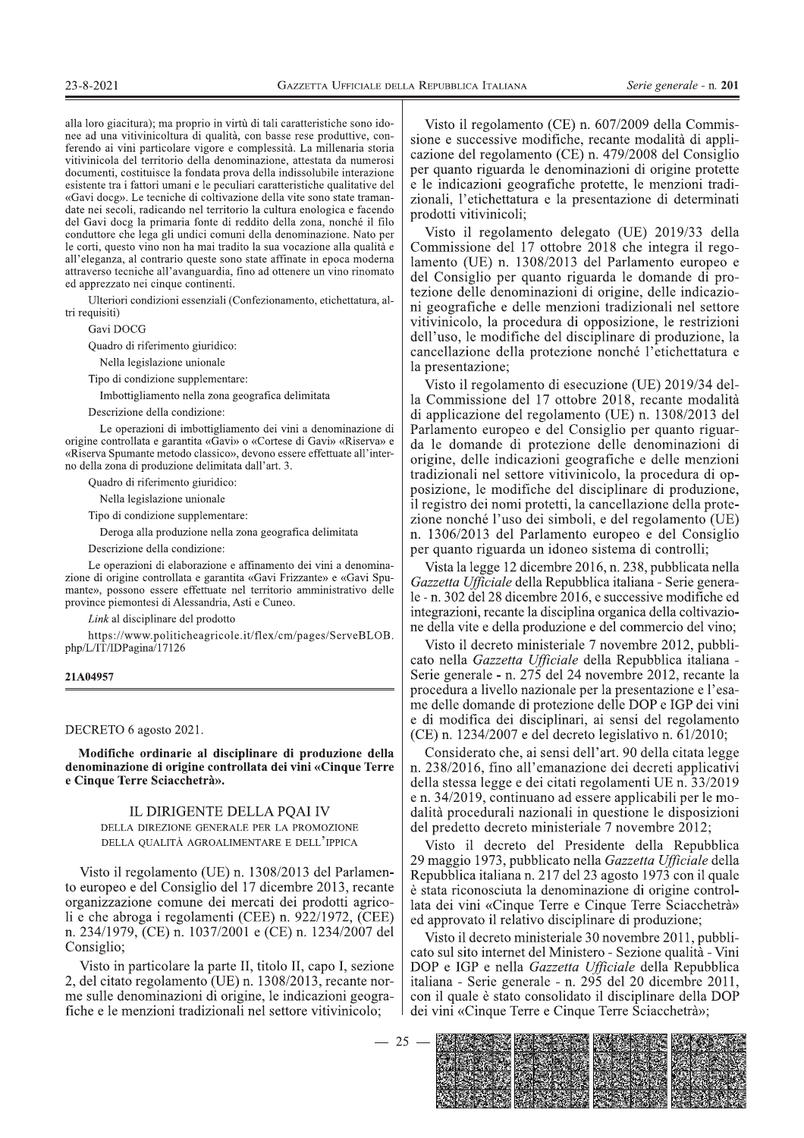alla loro giacitura); ma proprio in virtù di tali caratteristiche sono idonee ad una vitivinicoltura di qualità, con basse rese produttive, conferendo ai vini particolare vigore e complessità. La millenaria storia vitivinicola del territorio della denominazione, attestata da numerosi documenti, costituisce la fondata prova della indissolubile interazione esistente tra i fattori umani e le peculiari caratteristiche qualitative del «Gavi docg». Le tecniche di coltivazione della vite sono state tramandate nei secoli, radicando nel territorio la cultura enologica e facendo del Gavi docg la primaria fonte di reddito della zona, nonché il filo conduttore che lega gli undici comuni della denominazione. Nato per le corti, questo vino non ha mai tradito la sua vocazione alla qualità e all'eleganza, al contrario queste sono state affinate in epoca moderna attraverso tecniche all'avanguardia, fino ad ottenere un vino rinomato ed apprezzato nei cinque continenti.

Ulteriori condizioni essenziali (Confezionamento, etichettatura, altri requisiti)

Gavi DOCG

Quadro di riferimento giuridico:

Nella legislazione unionale

Tipo di condizione supplementare:

Imbottigliamento nella zona geografica delimitata

Descrizione della condizione:

Le operazioni di imbottigliamento dei vini a denominazione di origine controllata e garantita «Gavi» o «Cortese di Gavi» «Riserva» e «Riserva Spumante metodo classico», devono essere effettuate all'interno della zona di produzione delimitata dall'art. 3.

Quadro di riferimento giuridico:

Nella legislazione unionale

Tipo di condizione supplementare:

Deroga alla produzione nella zona geografica delimitata

Descrizione della condizione:

Le operazioni di elaborazione e affinamento dei vini a denominazione di origine controllata e garantita «Gavi Frizzante» e «Gavi Spumante», possono essere effettuate nel territorio amministrativo delle province piemontesi di Alessandria, Asti e Cuneo.

Link al disciplinare del prodotto

https://www.politicheagricole.it/flex/cm/pages/ServeBLOB. php/L/IT/IDPagina/17126

### 21A04957

DECRETO 6 agosto 2021.

Modifiche ordinarie al disciplinare di produzione della denominazione di origine controllata dei vini «Cinque Terre e Cinque Terre Sciacchetrà».

# IL DIRIGENTE DELLA POAI IV DELLA DIREZIONE GENERALE PER LA PROMOZIONE

DELLA QUALITÀ AGROALIMENTARE E DELL'IPPICA

Visto il regolamento (UE) n. 1308/2013 del Parlamento europeo e del Consiglio del 17 dicembre 2013, recante organizzazione comune dei mercati dei prodotti agricoli e che abroga i regolamenti (CEE) n. 922/1972, (CEE) n. 234/1979, (CE) n. 1037/2001 e (CE) n. 1234/2007 del Consiglio:

Visto in particolare la parte II, titolo II, capo I, sezione 2, del citato regolamento (UE) n. 1308/2013, recante norme sulle denominazioni di origine, le indicazioni geografiche e le menzioni tradizionali nel settore vitivinicolo;

Visto il regolamento (CE) n. 607/2009 della Commissione e successive modifiche, recante modalità di applicazione del regolamento (CE) n. 479/2008 del Consiglio per quanto riguarda le denominazioni di origine protette e le indicazioni geografiche protette, le menzioni tradizionali, l'etichettatura e la presentazione di determinati prodotti vitivinicoli;

Visto il regolamento delegato (UE) 2019/33 della Commissione del 17 ottobre 2018 che integra il regolamento (UE) n. 1308/2013 del Parlamento europeo e del Consiglio per quanto riguarda le domande di protezione delle denominazioni di origine, delle indicazioni geografiche e delle menzioni tradizionali nel settore vitivinicolo, la procedura di opposizione, le restrizioni dell'uso, le modifiche del disciplinare di produzione, la cancellazione della protezione nonché l'etichettatura e la presentazione;

Visto il regolamento di esecuzione (UE) 2019/34 della Commissione del 17 ottobre 2018, recante modalità di applicazione del regolamento (UE) n. 1308/2013 del Parlamento europeo e del Consiglio per quanto riguarda le domande di protezione delle denominazioni di origine, delle indicazioni geografiche e delle menzioni tradizionali nel settore vitivinicolo, la procedura di opposizione, le modifiche del disciplinare di produzione, il registro dei nomi protetti, la cancellazione della protezione nonché l'uso dei simboli, e del regolamento (UE) n. 1306/2013 del Parlamento europeo e del Consiglio per quanto riguarda un idoneo sistema di controlli;

Vista la legge 12 dicembre 2016, n. 238, pubblicata nella Gazzetta Ufficiale della Repubblica italiana - Serie generale - n. 302 del 28 dicembre 2016, e successive modifiche ed integrazioni, recante la disciplina organica della coltivazione della vite e della produzione e del commercio del vino;

Visto il decreto ministeriale 7 novembre 2012, pubblicato nella Gazzetta Ufficiale della Repubblica italiana -Serie generale - n. 275 del 24 novembre 2012, recante la procedura a livello nazionale per la presentazione e l'esame delle domande di protezione delle DOP e IGP dei vini e di modifica dei disciplinari, ai sensi del regolamento (CE) n. 1234/2007 e del decreto legislativo n. 61/2010;

Considerato che, ai sensi dell'art. 90 della citata legge n. 238/2016, fino all'emanazione dei decreti applicativi della stessa legge e dei citati regolamenti UE n. 33/2019 e n. 34/2019, continuano ad essere applicabili per le modalità procedurali nazionali in questione le disposizioni del predetto decreto ministeriale 7 novembre 2012;

Visto il decreto del Presidente della Repubblica 29 maggio 1973, pubblicato nella Gazzetta Ufficiale della Repubblica italiana n. 217 del 23 agosto 1973 con il quale è stata riconosciuta la denominazione di origine controllata dei vini «Cinque Terre e Cinque Terre Sciacchetrà» ed approvato il relativo disciplinare di produzione;

Visto il decreto ministeriale 30 novembre 2011, pubblicato sul sito internet del Ministero - Sezione qualità - Vini DOP e IGP e nella Gazzetta Ufficiale della Repubblica italiana - Serie generale - n. 295 del 20 dicembre 2011, con il quale è stato consolidato il disciplinare della DOP dei vini «Cinque Terre e Cinque Terre Sciacchetrà»;

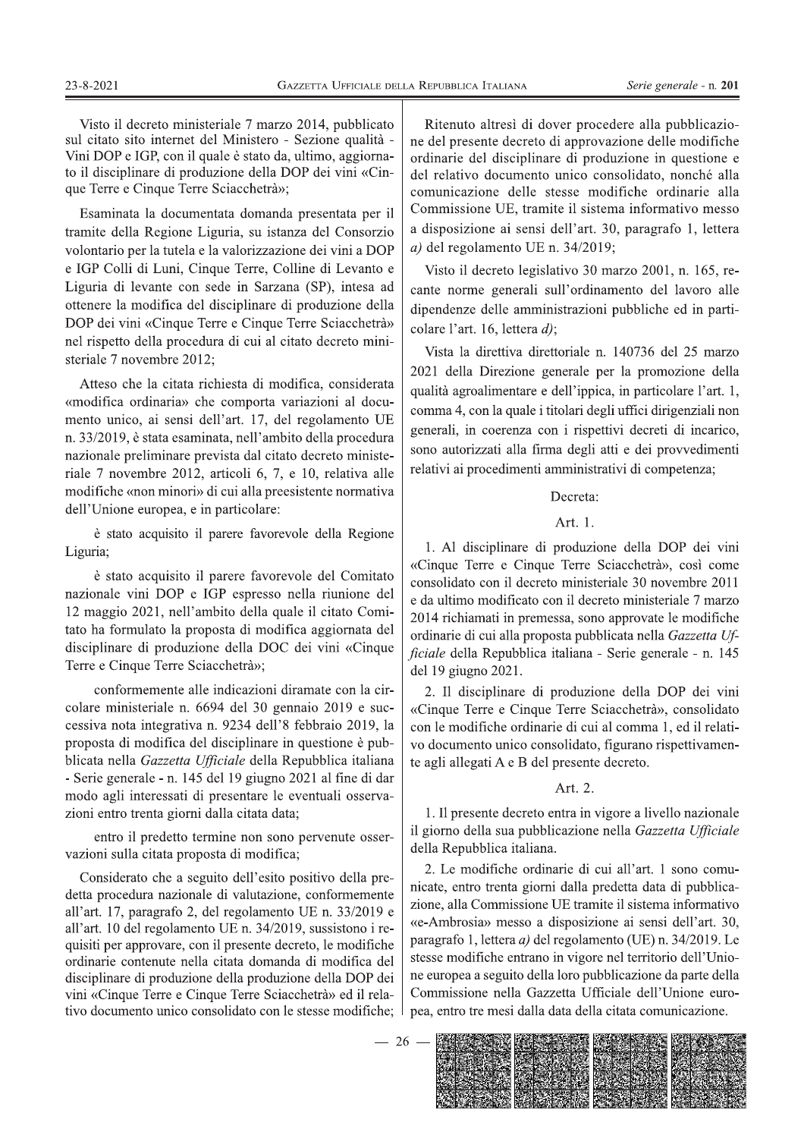Visto il decreto ministeriale 7 marzo 2014, pubblicato sul citato sito internet del Ministero - Sezione qualità -Vini DOP e IGP, con il quale è stato da, ultimo, aggiornato il disciplinare di produzione della DOP dei vini «Cinque Terre e Cinque Terre Sciacchetrà»;

Esaminata la documentata domanda presentata per il tramite della Regione Liguria, su istanza del Consorzio volontario per la tutela e la valorizzazione dei vini a DOP e IGP Colli di Luni, Cinque Terre, Colline di Levanto e Liguria di levante con sede in Sarzana (SP), intesa ad ottenere la modifica del disciplinare di produzione della DOP dei vini «Cinque Terre e Cinque Terre Sciacchetrà» nel rispetto della procedura di cui al citato decreto ministeriale 7 novembre 2012;

Atteso che la citata richiesta di modifica, considerata «modifica ordinaria» che comporta variazioni al documento unico, ai sensi dell'art. 17, del regolamento UE n. 33/2019, è stata esaminata, nell'ambito della procedura nazionale preliminare prevista dal citato decreto ministeriale 7 novembre 2012, articoli 6, 7, e 10, relativa alle modifiche «non minori» di cui alla preesistente normativa dell'Unione europea, e in particolare:

è stato acquisito il parere favorevole della Regione Liguria;

è stato acquisito il parere favorevole del Comitato nazionale vini DOP e IGP espresso nella riunione del 12 maggio 2021, nell'ambito della quale il citato Comitato ha formulato la proposta di modifica aggiornata del disciplinare di produzione della DOC dei vini «Cinque Terre e Cinque Terre Sciacchetrà»;

conformemente alle indicazioni diramate con la circolare ministeriale n. 6694 del 30 gennaio 2019 e successiva nota integrativa n. 9234 dell'8 febbraio 2019, la proposta di modifica del disciplinare in questione è pubblicata nella Gazzetta Ufficiale della Repubblica italiana - Serie generale - n. 145 del 19 giugno 2021 al fine di dar modo agli interessati di presentare le eventuali osservazioni entro trenta giorni dalla citata data;

entro il predetto termine non sono pervenute osservazioni sulla citata proposta di modifica;

Considerato che a seguito dell'esito positivo della predetta procedura nazionale di valutazione, conformemente all'art. 17, paragrafo 2, del regolamento UE n. 33/2019 e all'art. 10 del regolamento UE n. 34/2019, sussistono i requisiti per approvare, con il presente decreto, le modifiche ordinarie contenute nella citata domanda di modifica del disciplinare di produzione della produzione della DOP dei vini «Cinque Terre e Cinque Terre Sciacchetrà» ed il relativo documento unico consolidato con le stesse modifiche;

Ritenuto altresì di dover procedere alla pubblicazione del presente decreto di approvazione delle modifiche ordinarie del disciplinare di produzione in questione e del relativo documento unico consolidato, nonché alla comunicazione delle stesse modifiche ordinarie alla Commissione UE, tramite il sistema informativo messo a disposizione ai sensi dell'art. 30, paragrafo 1, lettera a) del regolamento UE n.  $34/2019$ ;

Visto il decreto legislativo 30 marzo 2001, n. 165, recante norme generali sull'ordinamento del lavoro alle dipendenze delle amministrazioni pubbliche ed in particolare l'art. 16, lettera d);

Vista la direttiva direttoriale n. 140736 del 25 marzo 2021 della Direzione generale per la promozione della qualità agroalimentare e dell'ippica, in particolare l'art. 1, comma 4, con la quale i titolari degli uffici dirigenziali non generali, in coerenza con i rispettivi decreti di incarico, sono autorizzati alla firma degli atti e dei provvedimenti relativi ai procedimenti amministrativi di competenza;

### Decreta:

### Art. 1.

1. Al disciplinare di produzione della DOP dei vini «Cinque Terre e Cinque Terre Sciacchetrà», così come consolidato con il decreto ministeriale 30 novembre 2011 e da ultimo modificato con il decreto ministeriale 7 marzo 2014 richiamati in premessa, sono approvate le modifiche ordinarie di cui alla proposta pubblicata nella Gazzetta Ufficiale della Repubblica italiana - Serie generale - n. 145 del 19 giugno 2021.

2. Il disciplinare di produzione della DOP dei vini «Cinque Terre e Cinque Terre Sciacchetrà», consolidato con le modifiche ordinarie di cui al comma 1, ed il relativo documento unico consolidato, figurano rispettivamente agli allegati A e B del presente decreto.

## Art. 2.

1. Il presente decreto entra in vigore a livello nazionale il giorno della sua pubblicazione nella Gazzetta Ufficiale della Repubblica italiana.

2. Le modifiche ordinarie di cui all'art. 1 sono comunicate, entro trenta giorni dalla predetta data di pubblicazione, alla Commissione UE tramite il sistema informativo «e-Ambrosia» messo a disposizione ai sensi dell'art. 30, paragrafo 1, lettera a) del regolamento (UE) n. 34/2019. Le stesse modifiche entrano in vigore nel territorio dell'Unione europea a seguito della loro pubblicazione da parte della Commissione nella Gazzetta Ufficiale dell'Unione europea, entro tre mesi dalla data della citata comunicazione.

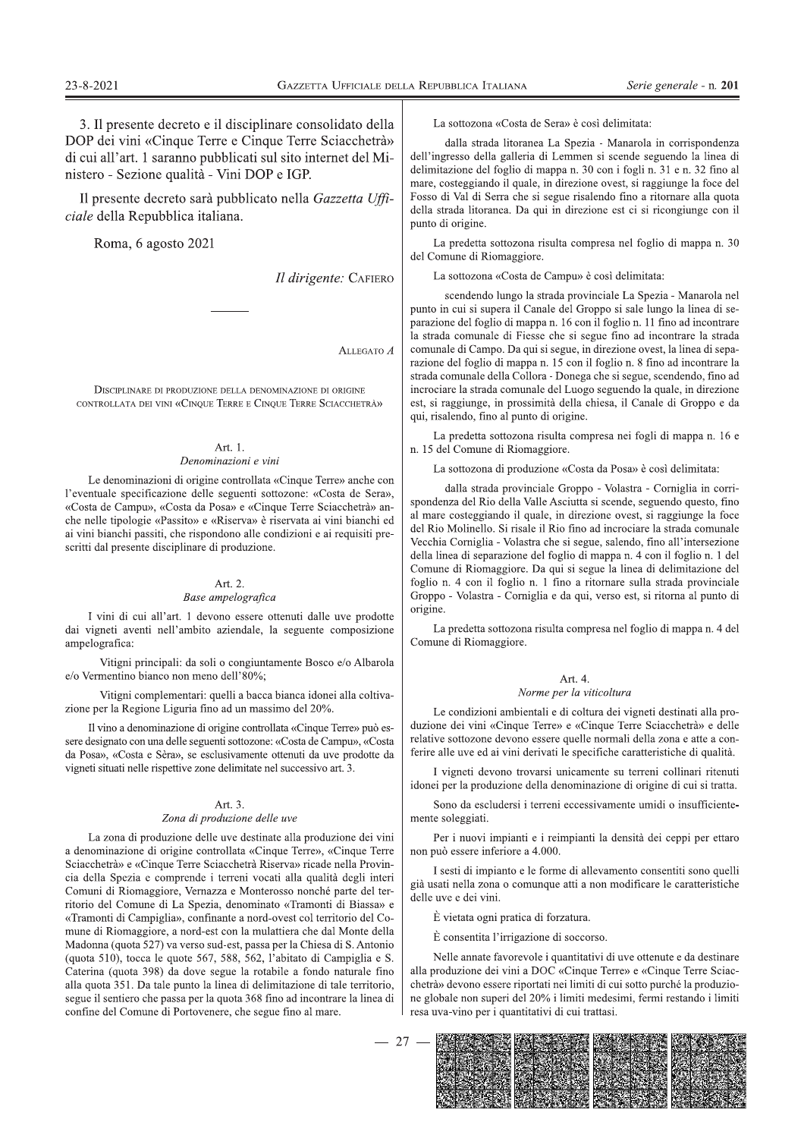3. Il presente decreto e il disciplinare consolidato della DOP dei vini «Cinque Terre e Cinque Terre Sciacchetrà» di cui all'art. 1 saranno pubblicati sul sito internet del Ministero - Sezione qualità - Vini DOP e IGP.

Il presente decreto sarà pubblicato nella Gazzetta Ufficiale della Repubblica italiana.

Roma, 6 agosto 2021

Il dirigente: CAFIERO

ALLEGATO A

DISCIPLINARE DI PRODUZIONE DELLA DENOMINAZIONE DI ORIGINE CONTROLLATA DEL VINI «CINOLIE TERRE E CINOLIE TERRE SCIACCHETRÀ»

### Art. 1. Denominazioni e vini

Le denominazioni di origine controllata «Cinque Terre» anche con l'eventuale specificazione delle seguenti sottozone: «Costa de Sera», «Costa de Campu», «Costa da Posa» e «Cinque Terre Sciacchetrà» anche nelle tipologie «Passito» e «Riserva» è riservata ai vini bianchi ed ai vini bianchi passiti, che rispondono alle condizioni e ai requisiti prescritti dal presente disciplinare di produzione.

### Art. 2.

### Base ampelografica

I vini di cui all'art. 1 devono essere ottenuti dalle uve prodotte dai vigneti aventi nell'ambito aziendale, la seguente composizione ampelografica:

Vitigni principali: da soli o congiuntamente Bosco e/o Albarola e/o Vermentino bianco non meno dell'80%:

Vitigni complementari: quelli a bacca bianca idonei alla coltivazione per la Regione Liguria fino ad un massimo del 20%.

Il vino a denominazione di origine controllata «Cinque Terre» può essere designato con una delle seguenti sottozone: «Costa de Campu», «Costa da Posa», «Costa e Sèra», se esclusivamente ottenuti da uve prodotte da vigneti situati nelle rispettive zone delimitate nel successivo art. 3.

### Art. 3.

#### Zona di produzione delle uve

La zona di produzione delle uve destinate alla produzione dei vini a denominazione di origine controllata «Cinque Terre», «Cinque Terre Sciacchetrà» e «Cinque Terre Sciacchetrà Riserva» ricade nella Provincia della Spezia e comprende i terreni vocati alla qualità degli interi Comuni di Riomaggiore, Vernazza e Monterosso nonché parte del territorio del Comune di La Spezia, denominato «Tramonti di Biassa» e «Tramonti di Campiglia», confinante a nord-ovest col territorio del Comune di Riomaggiore, a nord-est con la mulattiera che dal Monte della Madonna (quota 527) va verso sud-est, passa per la Chiesa di S. Antonio (quota 510), tocca le quote 567, 588, 562, l'abitato di Campiglia e S. Caterina (quota 398) da dove segue la rotabile a fondo naturale fino alla quota 351. Da tale punto la linea di delimitazione di tale territorio, segue il sentiero che passa per la quota 368 fino ad incontrare la linea di confine del Comune di Portovenere, che segue fino al mare.

La sottozona «Costa de Sera» è così delimitata:

dalla strada litoranea La Spezia - Manarola in corrispondenza dell'ingresso della galleria di Lemmen si scende seguendo la linea di delimitazione del foglio di mappa n. 30 con i fogli n. 31 e n. 32 fino al mare, costeggiando il quale, in direzione ovest, si raggiunge la foce del Fosso di Val di Serra che si segue risalendo fino a ritornare alla quota della strada litoranea. Da qui in direzione est ci si ricongiunge con il punto di origine.

La predetta sottozona risulta compresa nel foglio di mappa n. 30 del Comune di Riomaggiore.

La sottozona «Costa de Campu» è così delimitata:

scendendo lungo la strada provinciale La Spezia - Manarola nel punto in cui si supera il Canale del Groppo si sale lungo la linea di separazione del foglio di mappa n. 16 con il foglio n. 11 fino ad incontrare la strada comunale di Fiesse che si segue fino ad incontrare la strada comunale di Campo. Da qui si segue, in direzione ovest, la linea di separazione del foglio di mappa n. 15 con il foglio n. 8 fino ad incontrare la strada comunale della Collora - Donega che si segue, scendendo, fino ad incrociare la strada comunale del Luogo seguendo la quale, in direzione est, si raggiunge, in prossimità della chiesa, il Canale di Groppo e da qui, risalendo, fino al punto di origine.

La predetta sottozona risulta compresa nei fogli di mappa n. 16 e n. 15 del Comune di Riomaggiore.

La sottozona di produzione «Costa da Posa» è così delimitata:

dalla strada provinciale Groppo - Volastra - Corniglia in corrispondenza del Rio della Valle Asciutta si scende, seguendo questo, fino al mare costeggiando il quale, in direzione ovest, si raggiunge la foce del Rio Molinello. Si risale il Rio fino ad incrociare la strada comunale Vecchia Corniglia - Volastra che si segue, salendo, fino all'intersezione della linea di separazione del foglio di mappa n. 4 con il foglio n. 1 del Comune di Riomaggiore. Da qui si segue la linea di delimitazione del foglio n. 4 con il foglio n. 1 fino a ritornare sulla strada provinciale Groppo - Volastra - Corniglia e da qui, verso est, si ritorna al punto di origine.

La predetta sottozona risulta compresa nel foglio di mappa n. 4 del Comune di Riomaggiore.

# Art.  $4$

# Norme per la viticoltura

Le condizioni ambientali e di coltura dei vigneti destinati alla produzione dei vini «Cinque Terre» e «Cinque Terre Sciacchetrà» e delle relative sottozone devono essere quelle normali della zona e atte a conferire alle uve ed ai vini derivati le specifiche caratteristiche di qualità.

I vigneti devono trovarsi unicamente su terreni collinari ritenuti idonei per la produzione della denominazione di origine di cui si tratta.

Sono da escludersi i terreni eccessivamente umidi o insufficientemente soleggiati.

Per i nuovi impianti e i reimpianti la densità dei ceppi per ettaro non può essere inferiore a 4.000.

I sesti di impianto e le forme di allevamento consentiti sono quelli già usati nella zona o comunque atti a non modificare le caratteristiche delle uve e dei vini.

È vietata ogni pratica di forzatura.

È consentita l'irrigazione di soccorso.

Nelle annate favorevole i quantitativi di uve ottenute e da destinare alla produzione dei vini a DOC «Cinque Terre» e «Cinque Terre Sciacchetrà» devono essere riportati nei limiti di cui sotto purché la produzione globale non superi del 20% i limiti medesimi, fermi restando i limiti resa uva-vino per i quantitativi di cui trattasi.

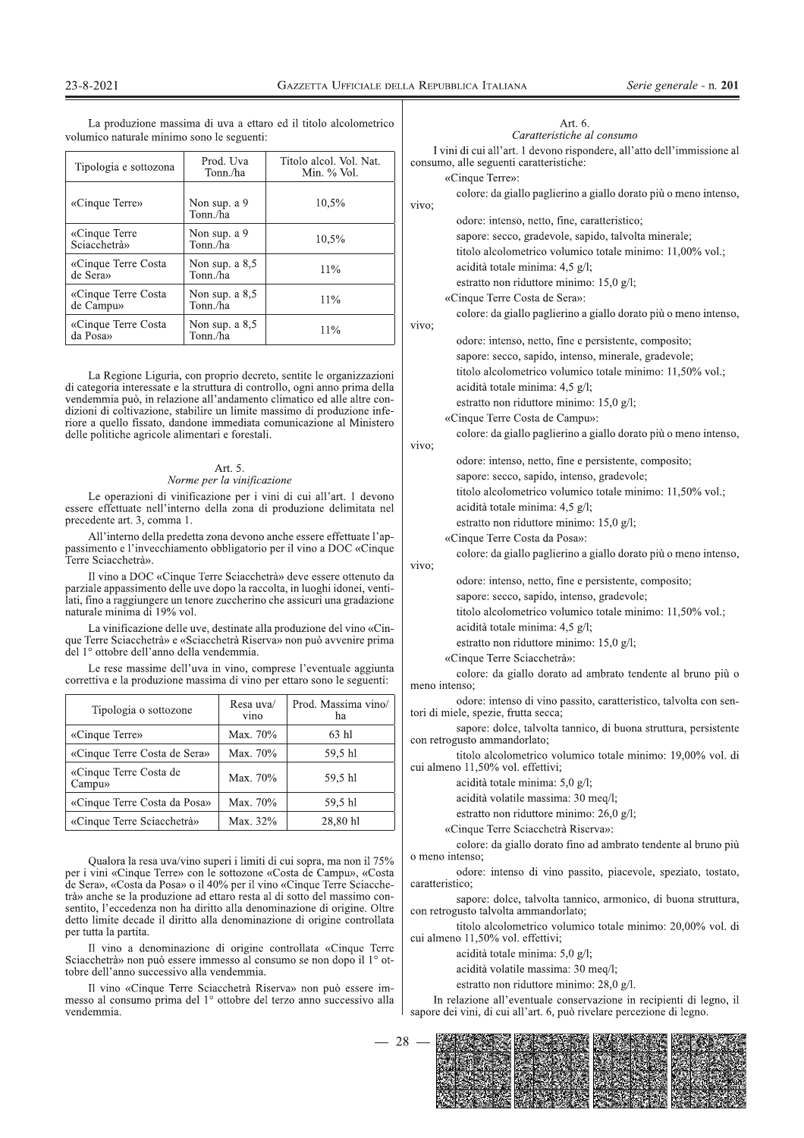La produzione massima di uva a ettaro ed il titolo alcolometrico volumico naturale minimo sono le seguenti:

| Tipologia e sottozona            | Prod. Uva<br>Tonn./ha         | Titolo alcol. Vol. Nat.<br>Min. % Vol. |
|----------------------------------|-------------------------------|----------------------------------------|
| «Cinque Terre»                   | Non sup. a 9<br>Tonn./ha      | 10,5%                                  |
| «Cinque Terre<br>Sciacchetrà»    | Non sup. a 9<br>Tonn./ha      | 10,5%                                  |
| «Cinque Terre Costa<br>de Sera»  | Non sup. $a\,8.5$<br>Tonn./ha | 11%                                    |
| «Cinque Terre Costa<br>de Campu» | Non sup. $a\,8.5$<br>Tonn./ha | 11%                                    |
| «Cinque Terre Costa<br>da Posa»  | Non sup. $a\,8.5$<br>Tonn./ha | 11%                                    |

La Regione Liguria, con proprio decreto, sentite le organizzazioni di categoria interessate e la struttura di controllo, ogni anno prima della vendemmia può, in relazione all'andamento climatico ed alle altre condizioni di coltivazione, stabilire un limite massimo di produzione inferiore a quello fissato, dandone immediata comunicazione al Ministero delle politiche agricole alimentari e forestali.

### Art. 5.

### Norme per la vinificazione

Le operazioni di vinificazione per i vini di cui all'art. 1 devono essere effettuate nell'interno della zona di produzione delimitata nel precedente art. 3, comma 1.

All'interno della predetta zona devono anche essere effettuate l'appassimento e l'invecchiamento obbligatorio per il vino a DOC «Cinque Terre Sciacchetrà».

Il vino a DOC «Cinque Terre Sciacchetrà» deve essere ottenuto da parziale appassimento delle uve dopo la raccolta, in luoghi idonei, ventilati, fino a raggiungere un tenore zuccherino che assicuri una gradazione naturale minima di 19% vol.

La vinificazione delle uve, destinate alla produzione del vino «Cinque Terre Sciacchetrà» e «Sciacchetrà Riserva» non può avvenire prima del 1º ottobre dell'anno della vendemmia.

Le rese massime dell'uva in vino, comprese l'eventuale aggiunta correttiva e la produzione massima di vino per ettaro sono le seguenti:

| Tipologia o sottozone            | Resa uva/<br>vino | Prod. Massima vino/<br>ha |
|----------------------------------|-------------------|---------------------------|
| «Cinque Terre»                   | Max. 70%          | 63 hl                     |
| «Cinque Terre Costa de Sera»     | Max. 70%          | 59,5 hl                   |
| «Cinque Terre Costa de<br>Campu» | Max. 70%          | 59.5 hl                   |
| «Cinque Terre Costa da Posa»     | Max. 70%          | 59,5 hl                   |
| «Cinque Terre Sciacchetrà»       | Max. 32%          | 28,80 hl                  |

Qualora la resa uva/vino superi i limiti di cui sopra, ma non il 75% per i vini «Cinque Terre» con le sottozone «Costa de Campu», «Costa de Sera», «Costa da Posa» o il 40% per il vino «Cinque Terre Sciacchetrà» anche se la produzione ad ettaro resta al di sotto del massimo consentito, l'eccedenza non ha diritto alla denominazione di origine. Oltre detto limite decade il diritto alla denominazione di origine controllata per tutta la partita.

Il vino a denominazione di origine controllata «Cinque Terre Sciacchetrà» non può essere immesso al consumo se non dopo il 1<sup>°</sup> ottobre dell'anno successivo alla vendemmia.

Il vino «Cinque Terre Sciacchetrà Riserva» non può essere immesso al consumo prima del 1º ottobre del terzo anno successivo alla vendemmia.

| Art. 6.                    |  |  |  |  |
|----------------------------|--|--|--|--|
| Caratteristiche al consumo |  |  |  |  |

I vini di cui all'art. 1 devono rispondere, all'atto dell'immissione al consumo, alle seguenti caratteristiche:

|                        | «Cinque Terre»:                                                                                                                              |
|------------------------|----------------------------------------------------------------------------------------------------------------------------------------------|
|                        | colore: da giallo paglierino a giallo dorato più o meno intenso,<br>vivo;                                                                    |
|                        | odore: intenso, netto, fine, caratteristico;                                                                                                 |
|                        | sapore: secco, gradevole, sapido, talvolta minerale;                                                                                         |
|                        | titolo alcolometrico volumico totale minimo: 11,00% vol.;                                                                                    |
|                        | acidità totale minima: 4,5 g/l;                                                                                                              |
|                        | estratto non riduttore minimo: 15,0 g/l;                                                                                                     |
|                        | «Cinque Terre Costa de Sera»:                                                                                                                |
|                        | colore: da giallo paglierino a giallo dorato più o meno intenso,                                                                             |
|                        | vivo;<br>odore: intenso, netto, fine e persistente, composito;                                                                               |
|                        | sapore: secco, sapido, intenso, minerale, gradevole;                                                                                         |
|                        | titolo alcolometrico volumico totale minimo: 11,50% vol.;                                                                                    |
| zioni<br>della         | acidità totale minima: 4,5 g/l;                                                                                                              |
| con-                   | estratto non riduttore minimo: 15,0 g/l;                                                                                                     |
| infe-<br>stero         | «Cinque Terre Costa de Campu»:                                                                                                               |
|                        | colore: da giallo paglierino a giallo dorato più o meno intenso,                                                                             |
|                        | vivo;                                                                                                                                        |
|                        | odore: intenso, netto, fine e persistente, composito;                                                                                        |
|                        | sapore: secco, sapido, intenso, gradevole;                                                                                                   |
| ono/                   | titolo alcolometrico volumico totale minimo: 11,50% vol.;<br>acidità totale minima: 4,5 g/l;                                                 |
| ∟nel                   | estratto non riduttore minimo: $15,0$ g/l;                                                                                                   |
| l'ap-                  | «Cinque Terre Costa da Posa»:                                                                                                                |
| nque                   | colore: da giallo paglierino a giallo dorato più o meno intenso,                                                                             |
|                        | vivo;                                                                                                                                        |
| o da<br>enti-          | odore: intenso, netto, fine e persistente, composito;                                                                                        |
| ione                   | sapore: secco, sapido, intenso, gradevole;                                                                                                   |
|                        | titolo alcolometrico volumico totale minimo: 11,50% vol.;                                                                                    |
| Cin-<br>rima           | acidità totale minima: 4,5 g/l;                                                                                                              |
|                        | estratto non riduttore minimo: $15,0$ g/l;<br>«Cinque Terre Sciacchetrà»:                                                                    |
| unta                   | colore: da giallo dorato ad ambrato tendente al bruno più o                                                                                  |
| nti:                   | meno intenso;                                                                                                                                |
| no/                    | odore: intenso di vino passito, caratteristico, talvolta con sen-<br>tori di miele, spezie, frutta secca;                                    |
|                        | sapore: dolce, talvolta tannico, di buona struttura, persistente<br>con retrogusto ammandorlato;                                             |
|                        | titolo alcolometrico volumico totale minimo: 19,00% vol. di<br>cui almeno 11,50% vol. effettivi;                                             |
|                        | acidità totale minima: 5,0 g/l;<br>acidità volatile massima: 30 meg/l;                                                                       |
|                        | estratto non riduttore minimo: 26,0 g/l;                                                                                                     |
|                        | «Cinque Terre Sciacchetrà Riserva»:                                                                                                          |
|                        | colore: da giallo dorato fino ad ambrato tendente al bruno più                                                                               |
| 75%                    | o meno intenso:                                                                                                                              |
| `osta<br>che-          | odore: intenso di vino passito, piacevole, speziato, tostato,<br>caratteristico;                                                             |
| con-<br>Oltre<br>llata | sapore: dolce, talvolta tannico, armonico, di buona struttura,<br>con retrogusto talvolta ammandorlato;                                      |
|                        | titolo alcolometrico volumico totale minimo: 20,00% vol. di<br>cui almeno 11,50% vol. effettivi;                                             |
| Terre<br>$\circ$ ot-   | acidità totale minima: 5,0 g/l;                                                                                                              |
|                        | acidità volatile massima: 30 meq/l;                                                                                                          |
| $im-$                  | estratto non riduttore minimo: 28,0 g/l.                                                                                                     |
| alla                   | In relazione all'eventuale conservazione in recipienti di legno, il<br>sapore dei vini, di cui all'art. 6, può rivelare percezione di legno. |
| 28                     |                                                                                                                                              |

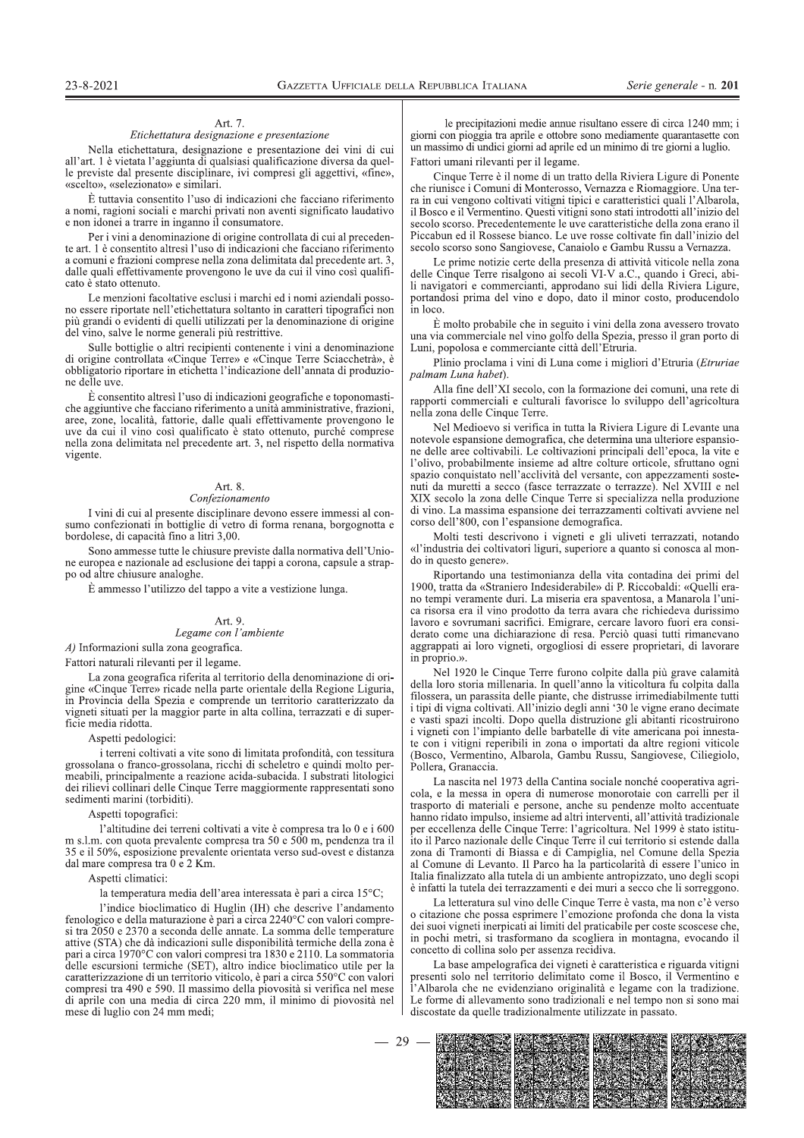dal mare compresa tra 0 e 2 Km.

solution the relation probability presentation and informative distribution of the state in the state of the state in the state of the state in the state of the state of the state in the state of the state in the state of dei rilievi collinari delle Cinque Terre maggiormente rappresentati sono<br>
Assetti toporatici:<br>
1 altitudine dei terreni coltivati a vite è compresa tra 10 0 e i 600<br>
m s.l.m. con quota prevalente compresa tra 50 e 500 m, fenologico e della maturazione è pari a circa 2240°C con valori compre-Aspetti topografici:<br>
l'altitudine dei terreni coltivati a vite è compresa tra 50 e i 600 hanno ridato impul<br>
ma si.m. con quota prevalente compresa tra 50 e 500 m, pendenza tra il ito il Parco naziona<br>
35 e il 50%, espos si tra  $2050$  e  $2370$  a seconda delle annate. La somma delle temperature attive (STA) che dà indicazioni sulle disponibilità termiche della zona è Taltitudine dei terreni coltivati a vite è compresa tra lo 0 e i 600<br>
m.s.l.m. con quota prevaelente compresa tra 50 e 500 m, pendenza tra il io il Parco nazional<br>
35 e il 50%, esposizione prevalente crientata verso sud-o AHHR (ACRI) CONSIDED prevalente orientata verso sud-ovest e distanza con a 1 no 1 nuovemente are of e 2 Km.<br>
A HER (A SERVE) and CONTROL CONSIDER (and CONTROL) and CONTROL CONSIDER (and the contractic is the specifical co di aprile con una media di circa  $220 \text{ mm}$ , il minimo di piovosita nel  $\vert$  mese di luglio con 24 mm medi; mese di luglio con 24 mm medi;

FICIALE DELLA REPUBBLICA ITALIANA Serie generale - n. 201<br>
le precipitazioni medie annue risultano essere di circa 1240 mm; i<br>
igiomi con pioggia tra aprile e ottobre sono mediamente quarantasette con<br>
vin di cui un massi diative the discussion in the automobility of the statement in the statement in the discussion in the precipitation in the discussion in the discussion of the discussion of the discussion of the discussion of the discussio

23.43.2021 Contract A Dentario Bata Recount a hardware in the second in the second in the second in the second in the second in the second in the second in the second in the second in the second in the second in the secon 277773. UPTCALE PRIVA **R**279. THE procedure in the properties and the search of the control of the procedure in the procedure of the search of the search of the search of the search of the search of the search of the sea

cona, capsuic a strap-<br>
in the mass control particular deliveration and primal deliveration and the constrained deliveration and the strained conditions<br>
in the particular capsuits and the result of the mass contract deli

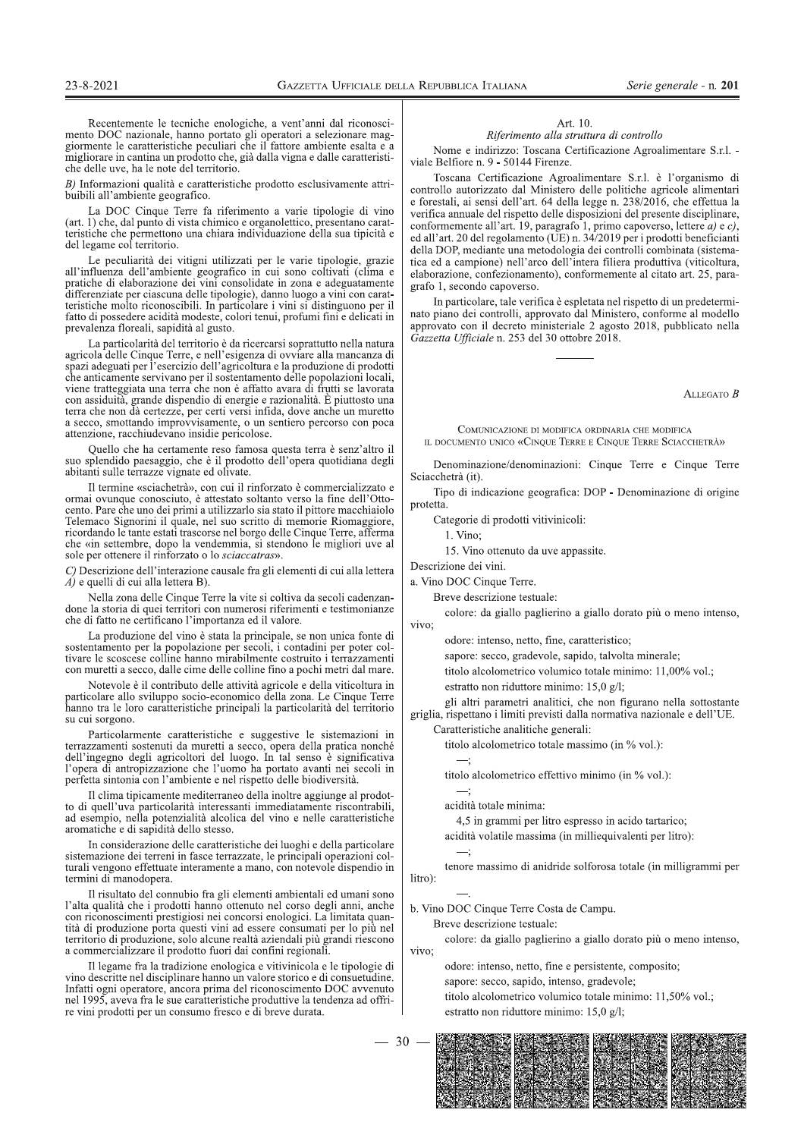Recentemente le tecniche enologiche, a vent'anni dal riconoscimento DOC nazionale, hanno portato gli operatori a selezionare maggiormente le caratteristiche peculiari che il fattore ambiente esalta e a migliorare in cantina un prodotto che, già dalla vigna e dalle caratteristiche delle uve, ha le note del territorio.

B) Informazioni qualità e caratteristiche prodotto esclusivamente attribuibili all'ambiente geografico.

La DOC Cinque Terre fa riferimento a varie tipologie di vino (art. 1) che, dal punto di vista chimico e organolettico, presentano caratteristiche che permettono una chiara individuazione della sua tipicità e del legame col territorio.

Le peculiarità dei vitigni utilizzati per le varie tipologie, grazie all'influenza dell'ambiente geografico in cui sono coltivati (clima e pratiche di elaborazione dei vini consolidate in zona e adeguatamente differenziate per ciascuna delle tipologie), danno luogo a vini con caratteristiche molto riconoscibili. In particolare i vini si distinguono per il fatto di possedere acidità modeste, colori tenui, profumi fini e delicati in prevalenza floreali, sapidità al gusto.

La particolarità del territorio è da ricercarsi soprattutto nella natura<br>agricola delle Cinque Terre, e nell'esigenza di ovviare alla mancanza di spazi adeguati per l'esercizio dell'agricoltura e la produzione di prodotti che anticamente servivano per il sostentamento delle popolazioni locali, viene tratteggiata una terra che non è affatto avara di frutti se lavorata con assiduità, grande dispendio di energie e razionalità. È piuttosto una terra che non dà certezze, per certi versi infida, dove anche un muretto a secco, smottando improvvisamente, o un sentiero percorso con poca attenzione, racchiudevano insidie pericolose.

Quello che ha certamente reso famosa questa terra è senz'altro il suo splendido paesaggio, che è il prodotto dell'opera quotidiana degli abitanti sulle terrazze vignate ed olivate.

Il termine «sciachetrà», con cui il rinforzato è commercializzato e ormai ovunque conosciuto, è attestato soltanto verso la fine dell'Ottoento. Pare che uno dei primi a utilizzarlo sia stato il pittore macchiaiolo<br>Telemaco Signorini il quale, nel suo scritto di memorie Riomaggiore, recordando le tante estati trascorse nel borgo delle Cinque Terre, afferma<br>che «in settembre, dopo la vendemmia, si stendono le migliori uve al sole per ottenere il rinforzato o lo sciaccatras».

C) Descrizione dell'interazione causale fra gli elementi di cui alla lettera  $\overrightarrow{A}$ ) e quelli di cui alla lettera B).

Nella zona delle Cinque Terre la vite si coltiva da secoli cadenzandone la storia di quei territori con numerosi riferimenti e testimonianze che di fatto ne certificano l'importanza ed il valore.

La produzione del vino è stata la principale, se non unica fonte di sostentamento per la popolazione per secoli, i contadini per poter coltivare le scoscese colline hanno mirabilmente costruito i terrazzamenti con muretti a secco, dalle cime delle colline fino a pochi metri dal mare.

Notevole è il contributo delle attività agricole e della viticoltura in particolare allo sviluppo socio-economico della zona. Le Cinque Terre hanno tra le loro caratteristiche principali la particolarità del territorio su cui sorgono

Particolarmente caratteristiche e suggestive le sistemazioni in terrazzamenti sostenuti da muretti a secco, opera della pratica nonché dell'ingegno degli agricoltori del luogo. In tal senso è significativa l'opera di antropizzazione che l'uomo ha portato avanti nei secoli in perfetta sintonia con l'ambiente e nel rispetto delle biodiversità.

Il clima tipicamente mediterraneo della inoltre aggiunge al prodotto di quell'uva particolarità interessanti immediatamente riscontrabili, ad esempio, nella potenzialità alcolica del vino e nelle caratteristiche aromatiche e di sapidità dello stesso.

In considerazione delle caratteristiche dei luoghi e della particolare sistemazione dei terreni in fasce terrazzate, le principali operazioni colturali vengono effettuate interamente a mano, con notevole dispendio in termini di manodopera

Il risultato del connubio fra gli elementi ambientali ed umani sono l'alta qualità che i prodotti hanno ottenuto nel corso degli anni, anche con riconoscimenti prestigiosi nei concorsi enologici. La limitata quantità di produzione porta questi vini ad essere consumati per lo più nel territorio di produzione, solo alcune realtà aziendali più grandi riescono a commercializzare il prodotto fuori dai confini regionali.

Il legame fra la tradizione enologica e vitivinicola e le tipologie di vino descritte nel disciplinare hanno un valore storico e di consuetudine. Infatti ogni operatore, ancora prima del riconoscimento DOC avvenuto nel 1995, aveva fra le sue caratteristiche produttive la tendenza ad offrire vini prodotti per un consumo fresco e di breve durata.

#### Art. 10.

Riferimento alla struttura di controllo

Nome e indirizzo: Toscana Certificazione Agroalimentare S.r.l. viale Belfiore n. 9 - 50144 Firenze.

Toscana Certificazione Agroalimentare S.r.l. è l'organismo di controllo autorizzato dal Ministero delle politiche agricole alimentari e forestali, ai sensi dell'art. 64 della legge n. 238/2016, che effettua la verifica annuale del rispetto delle disposizioni del presente disciplinare, conformemente all'art. 19, paragrafo 1, primo capoverso, lettere  $a$ ) e  $c$ ), ed all'art. 20 del regolamento (UE) n. 34/2019 per i prodotti beneficianti della DOP, mediante una metodologia dei controlli combinata (sistematica ed a campione) nell'arco dell'intera filiera produttiva (viticoltura, elaborazione, confezionamento), conformemente al citato art. 25, paragrafo 1, secondo capoverso.

In particolare, tale verifica è espletata nel rispetto di un predeterminato piano dei controlli, approvato dal Ministero, conforme al modello approvato con il decreto ministeriale 2 agosto 2018, pubblicato nella Gazzetta Ufficiale n. 253 del 30 ottobre 2018.

ALLEGATO  $B$ 

COMUNICAZIONE DI MODIFICA ORDINARIA CHE MODIFICA **IL DOCUMENTO UNICO «CINOUE TERRE E CINOUE TERRE SCIACCHETRÀ»** 

Denominazione/denominazioni: Cinque Terre e Cinque Terre Sciacchetrà (it).

Tipo di indicazione geografica: DOP - Denominazione di origine protetta

Categorie di prodotti vitivinicoli:

1 Vino

15. Vino ottenuto da uve appassite.

Descrizione dei vini.

a. Vino DOC Cinque Terre.

Breve descrizione testuale:

colore: da giallo paglierino a giallo dorato più o meno intenso, vivo:

odore: intenso, netto, fine, caratteristico;

sapore: secco, gradevole, sapido, talvolta minerale;

titolo alcolometrico volumico totale minimo: 11,00% vol.;

estratto non riduttore minimo: 15,0 g/l;

gli altri parametri analitici, che non figurano nella sottostante

griglia, rispettano i limiti previsti dalla normativa nazionale e dell'UE. Caratteristiche analitiche generali:

titolo alcolometrico totale massimo (in % vol.):

titolo alcolometrico effettivo minimo (in % vol.):

acidità totale minima:

4,5 in grammi per litro espresso in acido tartarico;

acidità volatile massima (in milliequivalenti per litro):

tenore massimo di anidride solforosa totale (in milligrammi per litro):

b. Vino DOC Cinque Terre Costa de Campu.

Breve descrizione testuale:

colore: da giallo paglierino a giallo dorato più o meno intenso, vivo:

odore: intenso, netto, fine e persistente, composito;

sapore: secco, sapido, intenso, gradevole;

titolo alcolometrico volumico totale minimo: 11,50% vol.; estratto non riduttore minimo: 15,0 g/l;

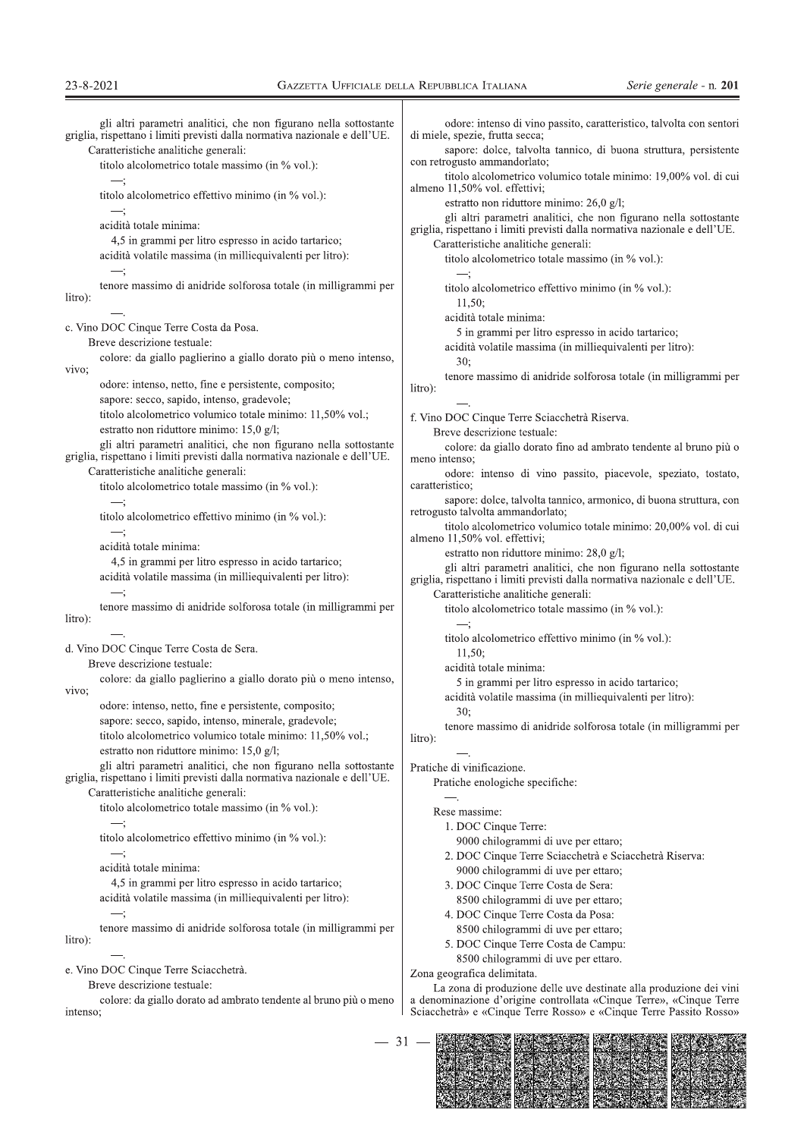| gli altri parametri analitici, che non figurano nella sottostante<br>griglia, rispettano i limiti previsti dalla normativa nazionale e dell'UE. | odore: intenso di vino passito, caratteristico, talvolta con sentori<br>di miele, spezie, frutta secca;                                         |
|-------------------------------------------------------------------------------------------------------------------------------------------------|-------------------------------------------------------------------------------------------------------------------------------------------------|
| Caratteristiche analitiche generali:<br>titolo alcolometrico totale massimo (in % vol.):                                                        | sapore: dolce, talvolta tannico, di buona struttura, persistente<br>con retrogusto ammandorlato;                                                |
|                                                                                                                                                 | titolo alcolometrico volumico totale minimo: 19,00% vol. di cui<br>almeno 11,50% vol. effettivi;                                                |
| titolo alcolometrico effettivo minimo (in % vol.):                                                                                              | estratto non riduttore minimo: $26.0$ g/l;                                                                                                      |
| acidità totale minima:                                                                                                                          | gli altri parametri analitici, che non figurano nella sottostante<br>griglia, rispettano i limiti previsti dalla normativa nazionale e dell'UE. |
| 4,5 in grammi per litro espresso in acido tartarico;                                                                                            | Caratteristiche analitiche generali:                                                                                                            |
| acidità volatile massima (in milliequivalenti per litro):                                                                                       | titolo alcolometrico totale massimo (in % vol.):                                                                                                |
| tenore massimo di anidride solforosa totale (in milligrammi per<br>litro):                                                                      | titolo alcolometrico effettivo minimo (in % vol.):<br>11,50;                                                                                    |
|                                                                                                                                                 | acidità totale minima:                                                                                                                          |
| c. Vino DOC Cinque Terre Costa da Posa.<br>Breve descrizione testuale:                                                                          | 5 in grammi per litro espresso in acido tartarico;                                                                                              |
| colore: da giallo paglierino a giallo dorato più o meno intenso,                                                                                | acidità volatile massima (in milliequivalenti per litro):                                                                                       |
| vivo;                                                                                                                                           | 30:                                                                                                                                             |
| odore: intenso, netto, fine e persistente, composito;                                                                                           | tenore massimo di anidride solforosa totale (in milligrammi per<br>litro):                                                                      |
| sapore: secco, sapido, intenso, gradevole;                                                                                                      |                                                                                                                                                 |
| titolo alcolometrico volumico totale minimo: 11,50% vol.;                                                                                       | f. Vino DOC Cinque Terre Sciacchetrà Riserva.                                                                                                   |
| estratto non riduttore minimo: 15,0 g/l;                                                                                                        | Breve descrizione testuale:                                                                                                                     |
| gli altri parametri analitici, che non figurano nella sottostante<br>griglia, rispettano i limiti previsti dalla normativa nazionale e dell'UE. | colore: da giallo dorato fino ad ambrato tendente al bruno più o<br>meno intenso:                                                               |
| Caratteristiche analitiche generali:<br>titolo alcolometrico totale massimo (in % vol.):                                                        | odore: intenso di vino passito, piacevole, speziato, tostato,<br>caratteristico;                                                                |
| titolo alcolometrico effettivo minimo (in % vol.):                                                                                              | sapore: dolce, talvolta tannico, armonico, di buona struttura, con<br>retrogusto talvolta ammandorlato;                                         |
|                                                                                                                                                 | titolo alcolometrico volumico totale minimo: 20,00% vol. di cui<br>almeno 11,50% vol. effettivi;                                                |
| acidità totale minima:                                                                                                                          | estratto non riduttore minimo: 28,0 g/l;                                                                                                        |
| 4,5 in grammi per litro espresso in acido tartarico;                                                                                            | gli altri parametri analitici, che non figurano nella sottostante                                                                               |
| acidità volatile massima (in milliequivalenti per litro):                                                                                       | griglia, rispettano i limiti previsti dalla normativa nazionale e dell'UE.<br>Caratteristiche analitiche generali:                              |
| tenore massimo di anidride solforosa totale (in milligrammi per                                                                                 | titolo alcolometrico totale massimo (in % vol.):                                                                                                |
| litro):                                                                                                                                         | —;                                                                                                                                              |
|                                                                                                                                                 | titolo alcolometrico effettivo minimo (in % vol.):                                                                                              |
| d. Vino DOC Cinque Terre Costa de Sera.<br>Breve descrizione testuale:                                                                          | 11.50:                                                                                                                                          |
| colore: da giallo paglierino a giallo dorato più o meno intenso,                                                                                | acidità totale minima:                                                                                                                          |
| vivo;                                                                                                                                           | 5 in grammi per litro espresso in acido tartarico;                                                                                              |
| odore: intenso, netto, fine e persistente, composito;                                                                                           | acidità volatile massima (in milliequivalenti per litro):<br>30;                                                                                |
| sapore: secco, sapido, intenso, minerale, gradevole;                                                                                            | tenore massimo di anidride solforosa totale (in milligrammi per                                                                                 |
| titolo alcolometrico volumico totale minimo: 11,50% vol.;                                                                                       | litro):                                                                                                                                         |
| estratto non riduttore minimo: $15,0$ g/l;                                                                                                      |                                                                                                                                                 |
| gli altri parametri analitici, che non figurano nella sottostante                                                                               | Pratiche di vinificazione.                                                                                                                      |
| griglia, rispettano i limiti previsti dalla normativa nazionale e dell'UE.                                                                      | Pratiche enologiche specifiche:                                                                                                                 |
| Caratteristiche analitiche generali:<br>titolo alcolometrico totale massimo (in % vol.):                                                        |                                                                                                                                                 |
|                                                                                                                                                 | Rese massime:                                                                                                                                   |
| —;<br>titolo alcolometrico effettivo minimo (in % vol.):                                                                                        | 1. DOC Cinque Terre:                                                                                                                            |
| —;                                                                                                                                              | 9000 chilogrammi di uve per ettaro;                                                                                                             |
| acidità totale minima:                                                                                                                          | 2. DOC Cinque Terre Sciacchetrà e Sciacchetrà Riserva:<br>9000 chilogrammi di uve per ettaro;                                                   |
| 4,5 in grammi per litro espresso in acido tartarico;                                                                                            | 3. DOC Cinque Terre Costa de Sera:                                                                                                              |
| acidità volatile massima (in milliequivalenti per litro):                                                                                       | 8500 chilogrammi di uve per ettaro;                                                                                                             |
|                                                                                                                                                 | 4. DOC Cinque Terre Costa da Posa:                                                                                                              |
| tenore massimo di anidride solforosa totale (in milligrammi per                                                                                 | 8500 chilogrammi di uve per ettaro;                                                                                                             |
| litro):                                                                                                                                         | 5. DOC Cinque Terre Costa de Campu:                                                                                                             |
|                                                                                                                                                 | 8500 chilogrammi di uve per ettaro.                                                                                                             |
| e. Vino DOC Cinque Terre Sciacchetrà.                                                                                                           | Zona geografica delimitata.                                                                                                                     |
| Breve descrizione testuale:                                                                                                                     | La zona di produzione delle uve destinate alla produzione dei vini                                                                              |
| colore: da giallo dorato ad ambrato tendente al bruno più o meno<br>intenso;                                                                    | a denominazione d'origine controllata «Cinque Terre», «Cinque Terre<br>Sciacchetrà» e «Cinque Terre Rosso» e «Cinque Terre Passito Rosso»       |